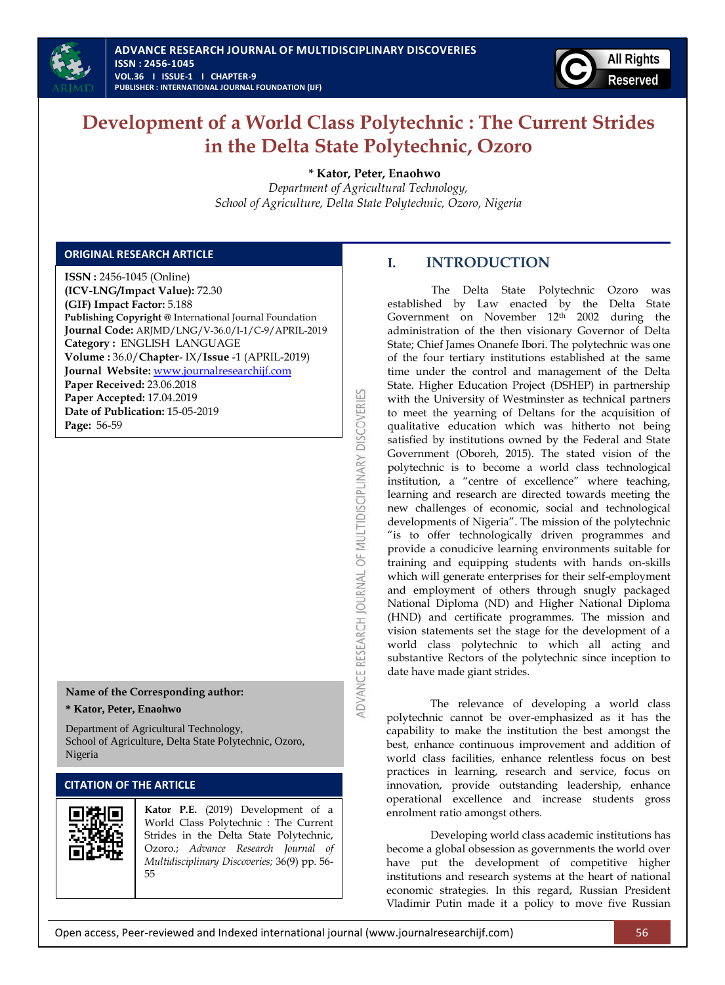



# **Development of a World Class Polytechnic : The Current Strides in the Delta State Polytechnic, Ozoro**

**\* Kator, Peter, Enaohwo**

*Department of Agricultural Technology, School of Agriculture, Delta State Polytechnic, Ozoro, Nigeria*

ADVANCE RESEARCH JOURNAL OF MULTIDISCIPLINARY DISCOVERIES

# **ORIGINAL RESEARCH ARTICLE**

**ISSN :** 2456-1045 (Online) **(ICV-LNG/Impact Value):** 72.30 **(GIF) Impact Factor:** 5.188 **Publishing Copyright @** International Journal Foundation **Journal Code:** ARJMD/LNG/V-36.0/I-1/C-9/APRIL-2019 **Category :** ENGLISH LANGUAGE **Volume :** 36.0/**Chapter**- IX/**Issue** -1 (APRIL-2019) **Journal Website:** [www.journalresearchijf.com](http://www.journalresearchijf.com/) **Paper Received:** 23.06.2018 **Paper Accepted:** 17.04.2019 **Date of Publication:** 15-05-2019 **Page:** 56-59

## **Name of the Corresponding author:**

## **\* Kator, Peter, Enaohwo**

Department of Agricultural Technology, School of Agriculture, Delta State Polytechnic, Ozoro, Nigeria

# **CITATION OF THE ARTICLE**



**Kator P.E.** (2019) Development of a World Class Polytechnic : The Current Strides in the Delta State Polytechnic, Ozoro.; *Advance Research Journal of Multidisciplinary Discoveries;* 36(9) pp. 56- 55

# **I. INTRODUCTION**

The Delta State Polytechnic Ozoro was established by Law enacted by the Delta State Government on November 12th 2002 during the administration of the then visionary Governor of Delta State; Chief James Onanefe Ibori. The polytechnic was one of the four tertiary institutions established at the same time under the control and management of the Delta State. Higher Education Project (DSHEP) in partnership with the University of Westminster as technical partners to meet the yearning of Deltans for the acquisition of qualitative education which was hitherto not being satisfied by institutions owned by the Federal and State Government (Oboreh, 2015). The stated vision of the polytechnic is to become a world class technological institution, a "centre of excellence" where teaching, learning and research are directed towards meeting the new challenges of economic, social and technological developments of Nigeria". The mission of the polytechnic "is to offer technologically driven programmes and provide a conudicive learning environments suitable for training and equipping students with hands on-skills which will generate enterprises for their self-employment and employment of others through snugly packaged National Diploma (ND) and Higher National Diploma (HND) and certificate programmes. The mission and vision statements set the stage for the development of a world class polytechnic to which all acting and substantive Rectors of the polytechnic since inception to date have made giant strides.

The relevance of developing a world class polytechnic cannot be over-emphasized as it has the capability to make the institution the best amongst the best, enhance continuous improvement and addition of world class facilities, enhance relentless focus on best practices in learning, research and service, focus on innovation, provide outstanding leadership, enhance operational excellence and increase students gross enrolment ratio amongst others.

Developing world class academic institutions has become a global obsession as governments the world over have put the development of competitive higher institutions and research systems at the heart of national economic strategies. In this regard, Russian President Vladimir Putin made it a policy to move five Russian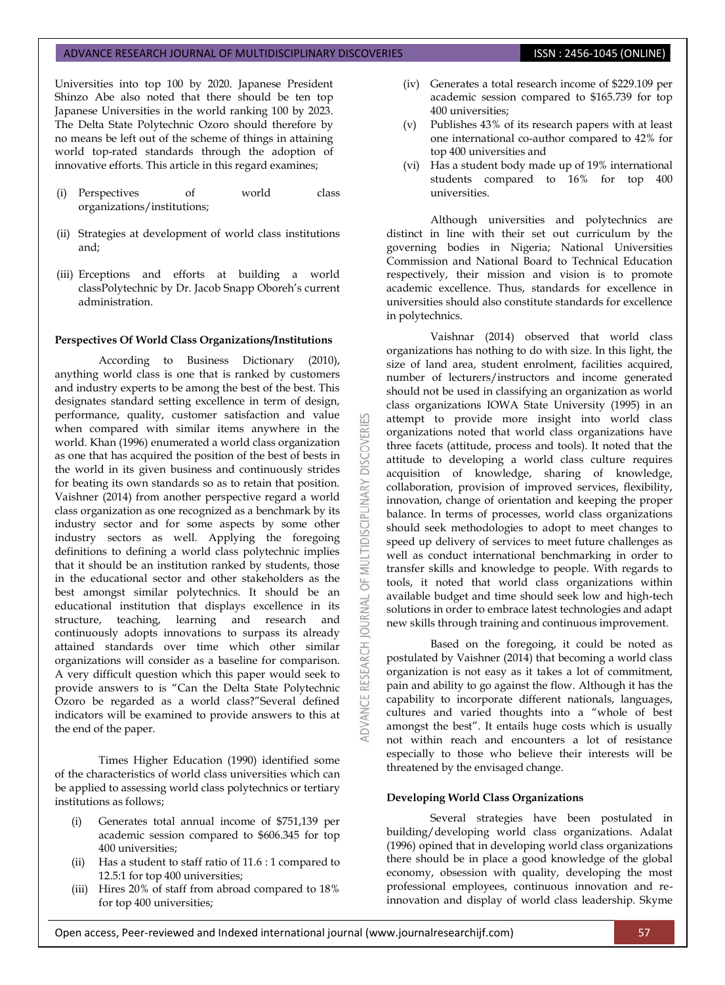## ADVANCE RESEARCH JOURNAL OF MULTIDISCIPLINARY DISCOVERIES **ISSN : 2456-1045 (ONLINE)**

Universities into top 100 by 2020. Japanese President Shinzo Abe also noted that there should be ten top Japanese Universities in the world ranking 100 by 2023. The Delta State Polytechnic Ozoro should therefore by no means be left out of the scheme of things in attaining world top-rated standards through the adoption of innovative efforts. This article in this regard examines;

- (i) Perspectives of world class organizations/institutions;
- (ii) Strategies at development of world class institutions and;
- (iii) Erceptions and efforts at building a world classPolytechnic by Dr. Jacob Snapp Oboreh's current administration.

#### **Perspectives Of World Class Organizations/Institutions**

According to Business Dictionary (2010), anything world class is one that is ranked by customers and industry experts to be among the best of the best. This designates standard setting excellence in term of design, performance, quality, customer satisfaction and value when compared with similar items anywhere in the world. Khan (1996) enumerated a world class organization as one that has acquired the position of the best of bests in the world in its given business and continuously strides for beating its own standards so as to retain that position. Vaishner (2014) from another perspective regard a world class organization as one recognized as a benchmark by its industry sector and for some aspects by some other industry sectors as well. Applying the foregoing definitions to defining a world class polytechnic implies that it should be an institution ranked by students, those in the educational sector and other stakeholders as the best amongst similar polytechnics. It should be an educational institution that displays excellence in its structure, teaching, learning and research and continuously adopts innovations to surpass its already attained standards over time which other similar organizations will consider as a baseline for comparison. A very difficult question which this paper would seek to provide answers to is "Can the Delta State Polytechnic Ozoro be regarded as a world class?"Several defined indicators will be examined to provide answers to this at the end of the paper.

Times Higher Education (1990) identified some of the characteristics of world class universities which can be applied to assessing world class polytechnics or tertiary institutions as follows;

- (i) Generates total annual income of \$751,139 per academic session compared to \$606.345 for top 400 universities;
- (ii) Has a student to staff ratio of 11.6 : 1 compared to 12.5:1 for top 400 universities;
- (iii) Hires 20% of staff from abroad compared to 18% for top 400 universities;
- (iv) Generates a total research income of \$229.109 per academic session compared to \$165.739 for top 400 universities;
- (v) Publishes 43% of its research papers with at least one international co-author compared to 42% for top 400 universities and
- (vi) Has a student body made up of 19% international students compared to 16% for top 400 universities.

Although universities and polytechnics are distinct in line with their set out curriculum by the governing bodies in Nigeria; National Universities Commission and National Board to Technical Education respectively, their mission and vision is to promote academic excellence. Thus, standards for excellence in universities should also constitute standards for excellence in polytechnics.

Vaishnar (2014) observed that world class organizations has nothing to do with size. In this light, the size of land area, student enrolment, facilities acquired, number of lecturers/instructors and income generated should not be used in classifying an organization as world class organizations IOWA State University (1995) in an attempt to provide more insight into world class organizations noted that world class organizations have three facets (attitude, process and tools). It noted that the attitude to developing a world class culture requires acquisition of knowledge, sharing of knowledge, collaboration, provision of improved services, flexibility, innovation, change of orientation and keeping the proper balance. In terms of processes, world class organizations should seek methodologies to adopt to meet changes to speed up delivery of services to meet future challenges as well as conduct international benchmarking in order to transfer skills and knowledge to people. With regards to tools, it noted that world class organizations within available budget and time should seek low and high-tech solutions in order to embrace latest technologies and adapt new skills through training and continuous improvement.

₩

**DISCOVERI** 

MULTIDISCIPLINARY

 $\overline{6}$ 

JOURNAL

DVANCE RESEARCH

Based on the foregoing, it could be noted as postulated by Vaishner (2014) that becoming a world class organization is not easy as it takes a lot of commitment, pain and ability to go against the flow. Although it has the capability to incorporate different nationals, languages, cultures and varied thoughts into a "whole of best amongst the best". It entails huge costs which is usually not within reach and encounters a lot of resistance especially to those who believe their interests will be threatened by the envisaged change.

#### **Developing World Class Organizations**

Several strategies have been postulated in building/developing world class organizations. Adalat (1996) opined that in developing world class organizations there should be in place a good knowledge of the global economy, obsession with quality, developing the most professional employees, continuous innovation and reinnovation and display of world class leadership. Skyme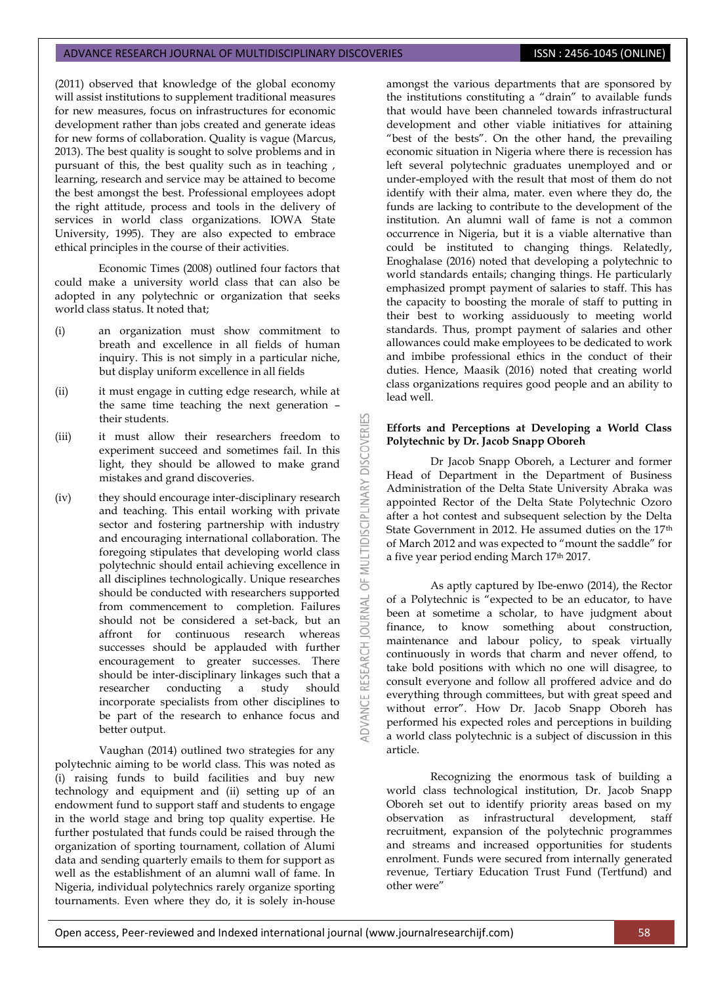#### ADVANCE RESEARCH JOURNAL OF MULTIDISCIPLINARY DISCOVERIES **ISSN : 2456-1045 (ONLINE)**

(2011) observed that knowledge of the global economy will assist institutions to supplement traditional measures for new measures, focus on infrastructures for economic development rather than jobs created and generate ideas for new forms of collaboration. Quality is vague (Marcus, 2013). The best quality is sought to solve problems and in pursuant of this, the best quality such as in teaching , learning, research and service may be attained to become the best amongst the best. Professional employees adopt the right attitude, process and tools in the delivery of services in world class organizations. IOWA State University, 1995). They are also expected to embrace ethical principles in the course of their activities.

Economic Times (2008) outlined four factors that could make a university world class that can also be adopted in any polytechnic or organization that seeks world class status. It noted that;

- (i) an organization must show commitment to breath and excellence in all fields of human inquiry. This is not simply in a particular niche, but display uniform excellence in all fields
- (ii) it must engage in cutting edge research, while at the same time teaching the next generation – their students.

53

**DISCOVERI** 

MULTIDISCIPLINARY

 $\overline{6}$ 

**JOURNAL** 

**ADVANCE RESEARCH** 

- (iii) it must allow their researchers freedom to experiment succeed and sometimes fail. In this light, they should be allowed to make grand mistakes and grand discoveries.
- (iv) they should encourage inter-disciplinary research and teaching. This entail working with private sector and fostering partnership with industry and encouraging international collaboration. The foregoing stipulates that developing world class polytechnic should entail achieving excellence in all disciplines technologically. Unique researches should be conducted with researchers supported from commencement to completion. Failures should not be considered a set-back, but an affront for continuous research whereas successes should be applauded with further encouragement to greater successes. There should be inter-disciplinary linkages such that a researcher conducting a study should incorporate specialists from other disciplines to be part of the research to enhance focus and better output.

Vaughan (2014) outlined two strategies for any polytechnic aiming to be world class. This was noted as (i) raising funds to build facilities and buy new technology and equipment and (ii) setting up of an endowment fund to support staff and students to engage in the world stage and bring top quality expertise. He further postulated that funds could be raised through the organization of sporting tournament, collation of Alumi data and sending quarterly emails to them for support as well as the establishment of an alumni wall of fame. In Nigeria, individual polytechnics rarely organize sporting tournaments. Even where they do, it is solely in-house

amongst the various departments that are sponsored by the institutions constituting a "drain" to available funds that would have been channeled towards infrastructural development and other viable initiatives for attaining "best of the bests". On the other hand, the prevailing economic situation in Nigeria where there is recession has left several polytechnic graduates unemployed and or under-employed with the result that most of them do not identify with their alma, mater. even where they do, the funds are lacking to contribute to the development of the institution. An alumni wall of fame is not a common occurrence in Nigeria, but it is a viable alternative than could be instituted to changing things. Relatedly, Enoghalase (2016) noted that developing a polytechnic to world standards entails; changing things. He particularly emphasized prompt payment of salaries to staff. This has the capacity to boosting the morale of staff to putting in their best to working assiduously to meeting world standards. Thus, prompt payment of salaries and other allowances could make employees to be dedicated to work and imbibe professional ethics in the conduct of their duties. Hence, Maasik (2016) noted that creating world class organizations requires good people and an ability to lead well.

## **Efforts and Perceptions at Developing a World Class Polytechnic by Dr. Jacob Snapp Oboreh**

Dr Jacob Snapp Oboreh, a Lecturer and former Head of Department in the Department of Business Administration of the Delta State University Abraka was appointed Rector of the Delta State Polytechnic Ozoro after a hot contest and subsequent selection by the Delta State Government in 2012. He assumed duties on the 17th of March 2012 and was expected to "mount the saddle" for a five year period ending March 17th 2017.

As aptly captured by Ibe-enwo (2014), the Rector of a Polytechnic is "expected to be an educator, to have been at sometime a scholar, to have judgment about finance, to know something about construction, maintenance and labour policy, to speak virtually continuously in words that charm and never offend, to take bold positions with which no one will disagree, to consult everyone and follow all proffered advice and do everything through committees, but with great speed and without error". How Dr. Jacob Snapp Oboreh has performed his expected roles and perceptions in building a world class polytechnic is a subject of discussion in this article.

Recognizing the enormous task of building a world class technological institution, Dr. Jacob Snapp Oboreh set out to identify priority areas based on my observation as infrastructural development, staff recruitment, expansion of the polytechnic programmes and streams and increased opportunities for students enrolment. Funds were secured from internally generated revenue, Tertiary Education Trust Fund (Tertfund) and other were"